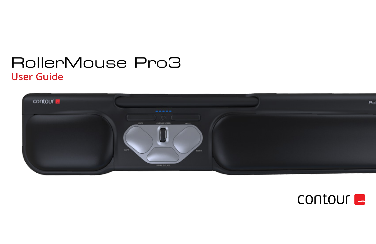# RollerMouse Pro3 **User Guide**



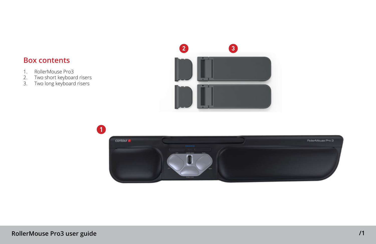## **Box contents**

- 
- 1. RollerMouse Pro3<br>2. Two short keyboar<br>3. Two long keyboard 2. Two short keyboard risers
- 3. Two long keyboard risers



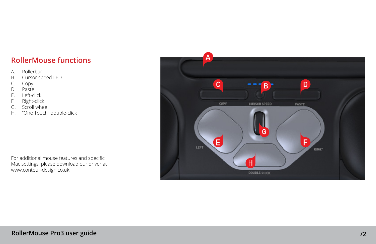# **RollerMouse functions**

- A. Rollerbar
- B. Cursor speed LED
- C. Copy
- D. Paste
- E. Left-click<br>F. Right-clicl
- Right-click
- G. Scroll wheel<br>H. "One Touch"
- "One Touch" double-click

For additional mouse features and specific Mac settings, please download our driver at www.contour-design.co.uk.

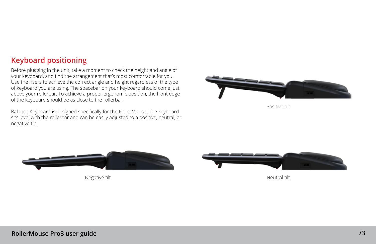# **Keyboard positioning**

Before plugging in the unit, take a moment to check the height and angle of your keyboard, and find the arrangement that's most comfortable for you. Use the risers to achieve the correct angle and height regardless of the type of keyboard you are using. The spacebar on your keyboard should come just above your rollerbar. To achieve a proper ergonomic position, the front edge of the keyboard should be as close to the rollerbar.

Balance Keyboard is designed specifically for the RollerMouse. The keyboard sits level with the rollerbar and can be easily adjusted to a positive, neutral, or negative tilt.



Positive tilt



Negative tilt Neutral tilt Neutral tilt Neutral tilt Neutral tilt Neutral tilt Neutral tilt Neutral tilt Neutral tilt Neutral tilt Neutral tilt Neutral tilt Neutral tilt Neutral tilt Neutral tilt Neutral tilt Neutral tilt

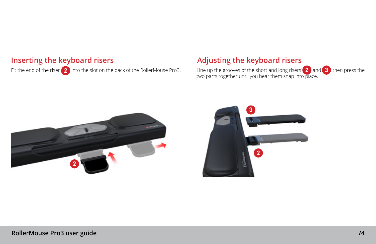### **Inserting the keyboard risers**

Fit the end of the riser 2 into the slot on the back of the RollerMouse Pro3.

### **Adjusting the keyboard risers**

Line up the grooves of the short and long risers  $\left( 2 \right)$  and  $\left( 3 \right)$  then press the two parts together until you hear them snap into place. **3**



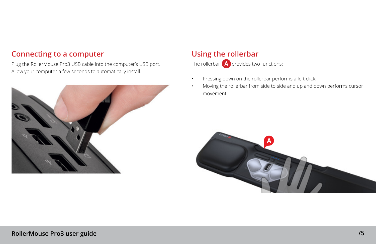# **Connecting to a computer**

Plug the RollerMouse Pro3 USB cable into the computer's USB port. Allow your computer a few seconds to automatically install.



# **Using the rollerbar**

The rollerbar  $\left($  **A** $\right)$  provides two functions:

- Pressing down on the rollerbar performs a left click.
- Moving the rollerbar from side to side and up and down performs cursor movement.

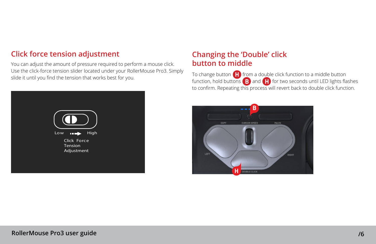# **Click force tension adjustment**

You can adjust the amount of pressure required to perform a mouse click. Use the click-force tension slider located under your RollerMouse Pro3. Simply slide it until you find the tension that works best for you.



# **Changing the 'Double' click button to middle**

To change button **H** from a double click function to a middle button function, hold buttons  $\boxed{B}$  and  $\boxed{H}$  for two seconds until LED lights flashes to confirm. Repeating this process will revert back to double click function.

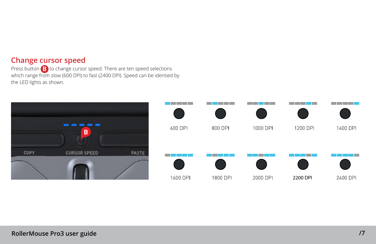### **Change cursor speed**

Press button  $\left(\mathbf{B}\right)$  to change cursor speed. There are ten speed selections which range from slow (600 DPI) to fast (2400 DPI). Speed can be identied by the LED lights as shown. **B**

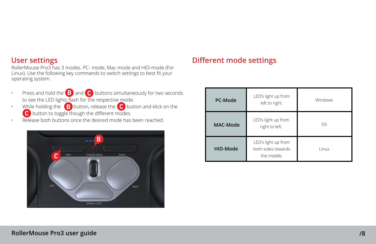### **User settings**

RollerMouse Pro3 has 3 modes. PC- mode, Mac-mode and HID-mode (For Linux). Use the following key commands to switch settings to best fit your operating system.

- **•** Press and hold the  $\mathbf{B}$  and  $\mathbf{C}$  buttons simultaneously for two seconds to see the LED lights flash for the respective mode.
- While holding the **B** button, release the **C** button and klick on the  $\bullet$  button to toggle though the different modes. **B** button, release the **C C**
- Release both buttons once the desired mode has been reached.



# **Different mode settings**

| <b>PC-Mode</b> | LED's light up from<br>left to right.                    | Windows |
|----------------|----------------------------------------------------------|---------|
| MAC-Mode       | LED's light up from<br>right to left.                    | OS      |
| HID-Mode       | LED's light up from<br>both sides towards<br>the middle. | Linux   |